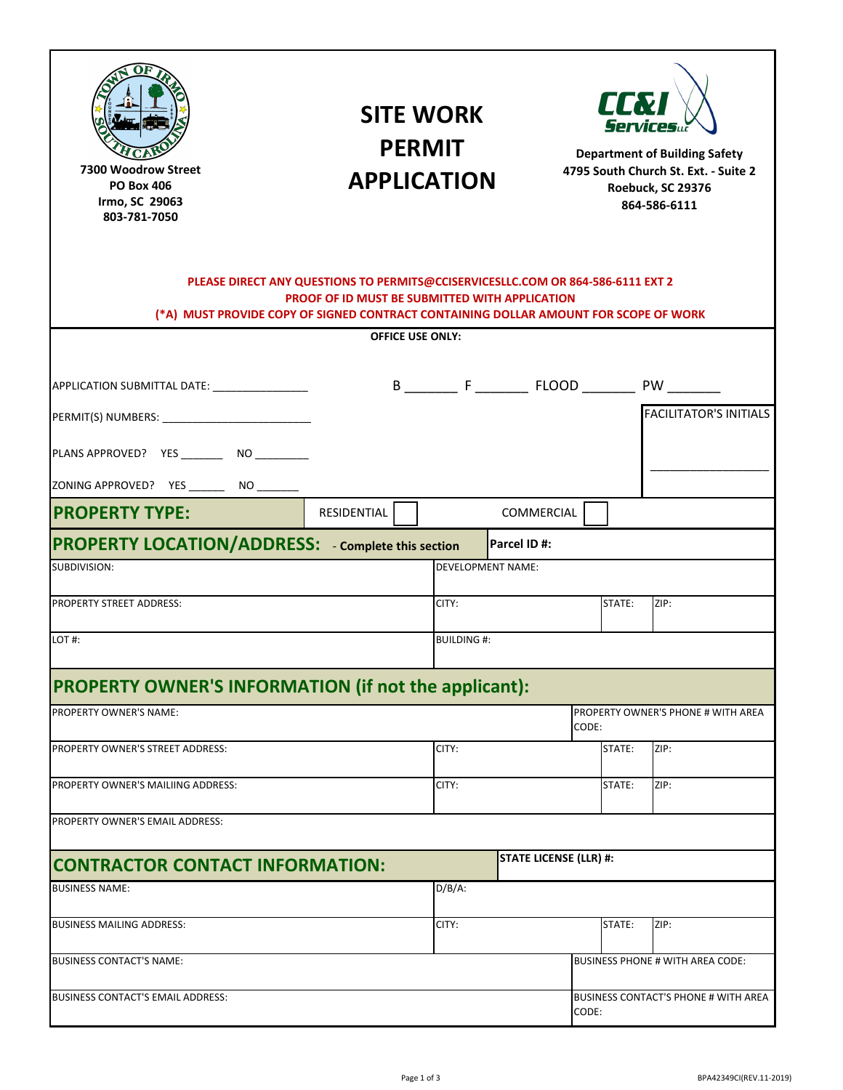| t∂y§E<br>tbou\$U^<br>ðð                                                                                                                | õ |  | <b>APPLICATION</b><br>PLEASE DIRECT ANY QUESTIONS TO PERMITS@CCISERVICESLLC.COM OR 864-586-6111 EXT 2<br><b>PROOF OF ID MUST BE SUBMITTED WITH APPLICATION</b><br>(*A) MUST PROVIDE COPY OF SIGNED CONTRACT CONTAINING DOLLAR AMOUNT FOR SCOPE OF WORK | <b>PERMIT</b> | <b>SITE WORK</b>                                       |                   |       | <b>AL</b> 7<br>Services | <b>Department of Building Safety</b><br>4795 South Church St. Ext. - Suite 2<br>Roebuck, SC 29376<br>864-586-6111 |
|----------------------------------------------------------------------------------------------------------------------------------------|---|--|--------------------------------------------------------------------------------------------------------------------------------------------------------------------------------------------------------------------------------------------------------|---------------|--------------------------------------------------------|-------------------|-------|-------------------------|-------------------------------------------------------------------------------------------------------------------|
| <b>OFFICE USE ONLY:</b>                                                                                                                |   |  |                                                                                                                                                                                                                                                        |               |                                                        |                   |       |                         |                                                                                                                   |
| APPLICATION SUBMITTAL DATE: ________________<br>PLANS APPROVED? YES _________ NO _________<br>ZONING APPROVED? YES ________ NO _______ |   |  |                                                                                                                                                                                                                                                        |               |                                                        |                   |       |                         | <b>FACILITATOR'S INITIALS</b>                                                                                     |
| <b>PROPERTY TYPE:</b>                                                                                                                  |   |  | RESIDENTIAL                                                                                                                                                                                                                                            |               |                                                        | <b>COMMERCIAL</b> |       |                         |                                                                                                                   |
| SUBDIVISION:<br>PROPERTY STREET ADDRESS:<br>LOT#:                                                                                      |   |  | <b>PROPERTY LOCATION/ADDRESS:</b> - Complete this section                                                                                                                                                                                              |               | <b>DEVELOPMENT NAME:</b><br>CITY:<br><b>BUILDING#:</b> | Parcel ID#:       |       | STATE:                  | ZIP:                                                                                                              |
| <b>PROPERTY OWNER'S INFORMATION (if not the applicant):</b>                                                                            |   |  |                                                                                                                                                                                                                                                        |               |                                                        |                   |       |                         |                                                                                                                   |
| PROPERTY OWNER'S NAME:                                                                                                                 |   |  |                                                                                                                                                                                                                                                        |               |                                                        |                   | CODE: |                         | PROPERTY OWNER'S PHONE # WITH AREA                                                                                |
| PROPERTY OWNER'S STREET ADDRESS:                                                                                                       |   |  |                                                                                                                                                                                                                                                        |               | CITY:                                                  |                   |       | STATE:                  | ZIP:                                                                                                              |
| PROPERTY OWNER'S MAILIING ADDRESS:                                                                                                     |   |  |                                                                                                                                                                                                                                                        |               | CITY:                                                  |                   |       | STATE:                  | ZIP:                                                                                                              |
| PROPERTY OWNER'S EMAIL ADDRESS:                                                                                                        |   |  |                                                                                                                                                                                                                                                        |               |                                                        |                   |       |                         |                                                                                                                   |
| <b>CONTRACTOR CONTACT INFORMATION:</b>                                                                                                 |   |  |                                                                                                                                                                                                                                                        |               | <b>STATE LICENSE (LLR) #:</b>                          |                   |       |                         |                                                                                                                   |
| <b>BUSINESS NAME:</b>                                                                                                                  |   |  |                                                                                                                                                                                                                                                        |               | $D/B/A$ :                                              |                   |       |                         |                                                                                                                   |
| <b>BUSINESS MAILING ADDRESS:</b>                                                                                                       |   |  |                                                                                                                                                                                                                                                        |               | CITY:                                                  |                   |       | STATE:                  | ZIP:                                                                                                              |
| <b>BUSINESS CONTACT'S NAME:</b>                                                                                                        |   |  |                                                                                                                                                                                                                                                        |               |                                                        |                   |       |                         | <b>BUSINESS PHONE # WITH AREA CODE:</b>                                                                           |
| BUSINESS CONTACT'S EMAIL ADDRESS:                                                                                                      |   |  |                                                                                                                                                                                                                                                        |               | BUSINESS CONTACT'S PHONE # WITH AREA<br>CODE:          |                   |       |                         |                                                                                                                   |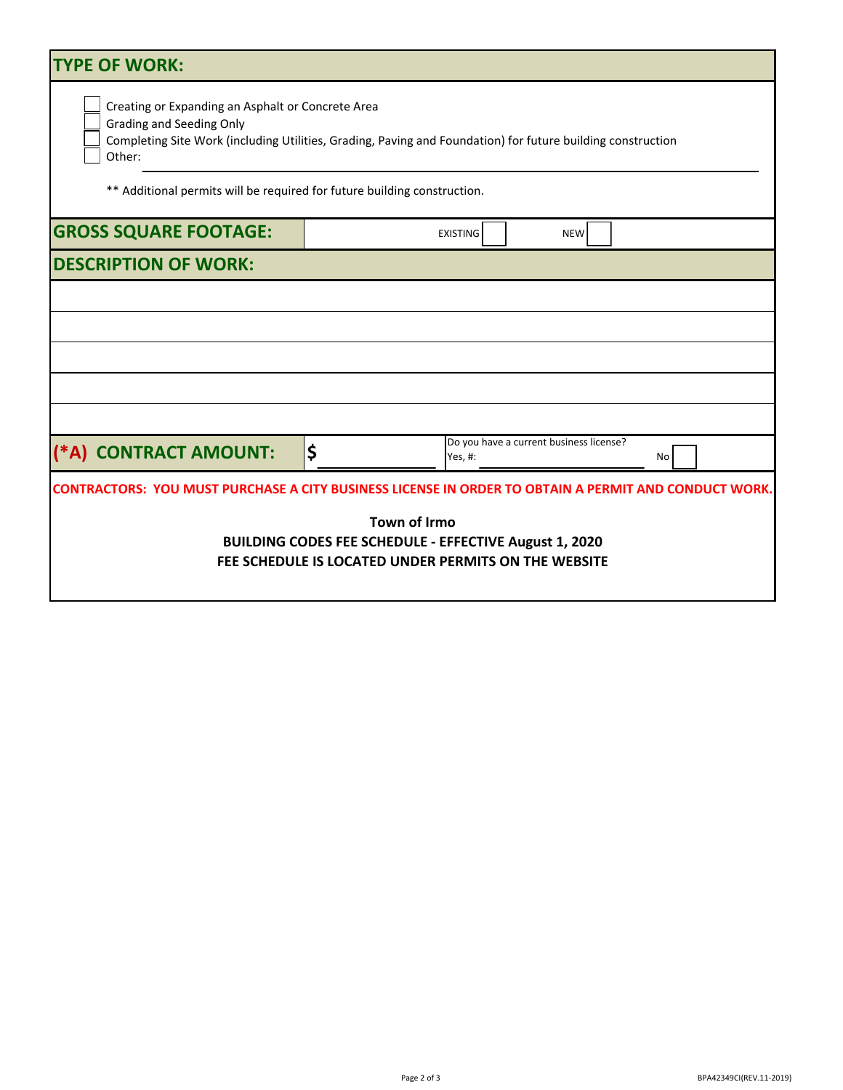| <b>TYPE OF WORK:</b>                                                                                                                                                                                                                                                                      |    |                                                    |    |  |  |  |  |  |
|-------------------------------------------------------------------------------------------------------------------------------------------------------------------------------------------------------------------------------------------------------------------------------------------|----|----------------------------------------------------|----|--|--|--|--|--|
| Creating or Expanding an Asphalt or Concrete Area<br><b>Grading and Seeding Only</b><br>Completing Site Work (including Utilities, Grading, Paving and Foundation) for future building construction<br>Other:<br>** Additional permits will be required for future building construction. |    |                                                    |    |  |  |  |  |  |
| <b>GROSS SQUARE FOOTAGE:</b>                                                                                                                                                                                                                                                              |    | <b>EXISTING</b><br><b>NEW</b>                      |    |  |  |  |  |  |
| <b>DESCRIPTION OF WORK:</b>                                                                                                                                                                                                                                                               |    |                                                    |    |  |  |  |  |  |
|                                                                                                                                                                                                                                                                                           |    |                                                    |    |  |  |  |  |  |
|                                                                                                                                                                                                                                                                                           |    |                                                    |    |  |  |  |  |  |
|                                                                                                                                                                                                                                                                                           |    |                                                    |    |  |  |  |  |  |
|                                                                                                                                                                                                                                                                                           |    |                                                    |    |  |  |  |  |  |
|                                                                                                                                                                                                                                                                                           |    |                                                    |    |  |  |  |  |  |
| (*A) CONTRACT AMOUNT:                                                                                                                                                                                                                                                                     | \$ | Do you have a current business license?<br>Yes, #: | No |  |  |  |  |  |
| <b>CONTRACTORS: YOU MUST PURCHASE A CITY BUSINESS LICENSE IN ORDER TO OBTAIN A PERMIT AND CONDUCT WORK.</b>                                                                                                                                                                               |    |                                                    |    |  |  |  |  |  |
| <b>Town of Williamston</b><br><b>BUILDING CODES FEE SCHEDULE - EFFECTIVE February 15, 2021</b><br>FEE SCHEDULE IS LOCATED UNDER PERMITS ON THE WEBSITE                                                                                                                                    |    |                                                    |    |  |  |  |  |  |